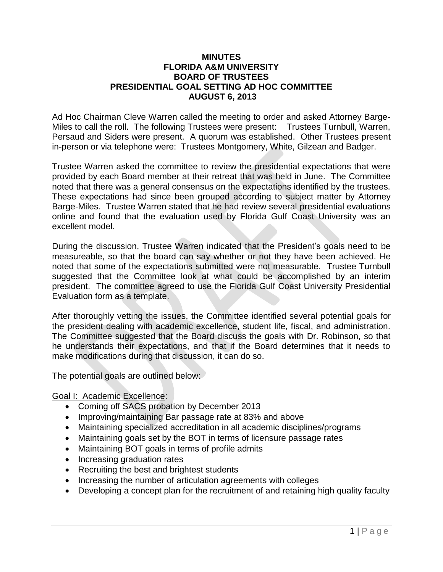## **MINUTES FLORIDA A&M UNIVERSITY BOARD OF TRUSTEES PRESIDENTIAL GOAL SETTING AD HOC COMMITTEE AUGUST 6, 2013**

Ad Hoc Chairman Cleve Warren called the meeting to order and asked Attorney Barge-Miles to call the roll. The following Trustees were present: Trustees Turnbull, Warren, Persaud and Siders were present. A quorum was established. Other Trustees present in-person or via telephone were: Trustees Montgomery, White, Gilzean and Badger.

Trustee Warren asked the committee to review the presidential expectations that were provided by each Board member at their retreat that was held in June. The Committee noted that there was a general consensus on the expectations identified by the trustees. These expectations had since been grouped according to subject matter by Attorney Barge-Miles. Trustee Warren stated that he had review several presidential evaluations online and found that the evaluation used by Florida Gulf Coast University was an excellent model.

During the discussion, Trustee Warren indicated that the President's goals need to be measureable, so that the board can say whether or not they have been achieved. He noted that some of the expectations submitted were not measurable. Trustee Turnbull suggested that the Committee look at what could be accomplished by an interim president. The committee agreed to use the Florida Gulf Coast University Presidential Evaluation form as a template.

After thoroughly vetting the issues, the Committee identified several potential goals for the president dealing with academic excellence, student life, fiscal, and administration. The Committee suggested that the Board discuss the goals with Dr. Robinson, so that he understands their expectations, and that if the Board determines that it needs to make modifications during that discussion, it can do so.

The potential goals are outlined below:

## Goal I: Academic Excellence:

- Coming off SACS probation by December 2013
- Improving/maintaining Bar passage rate at 83% and above
- Maintaining specialized accreditation in all academic disciplines/programs
- Maintaining goals set by the BOT in terms of licensure passage rates
- Maintaining BOT goals in terms of profile admits
- Increasing graduation rates
- Recruiting the best and brightest students
- Increasing the number of articulation agreements with colleges
- Developing a concept plan for the recruitment of and retaining high quality faculty